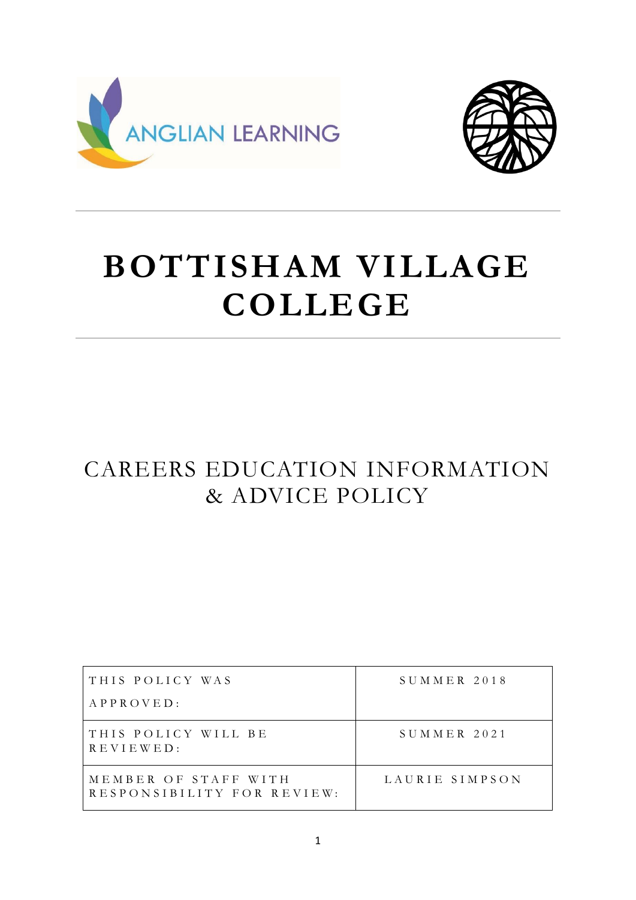



# **BOTTISHAM VILLAGE COLLEGE**

# CAREERS EDUCATION INFORMATION & ADVICE POLICY

| THIS POLICY WAS                                    | SUMMER 2018    |
|----------------------------------------------------|----------------|
| $APPROVED$ :                                       |                |
| THIS POLICY WILL BE<br>REVIEWED:                   | $S$ UMMER 2021 |
| MEMBER OF STAFF WITH<br>RESPONSIBILITY FOR REVIEW: | LAURIE SIMPSON |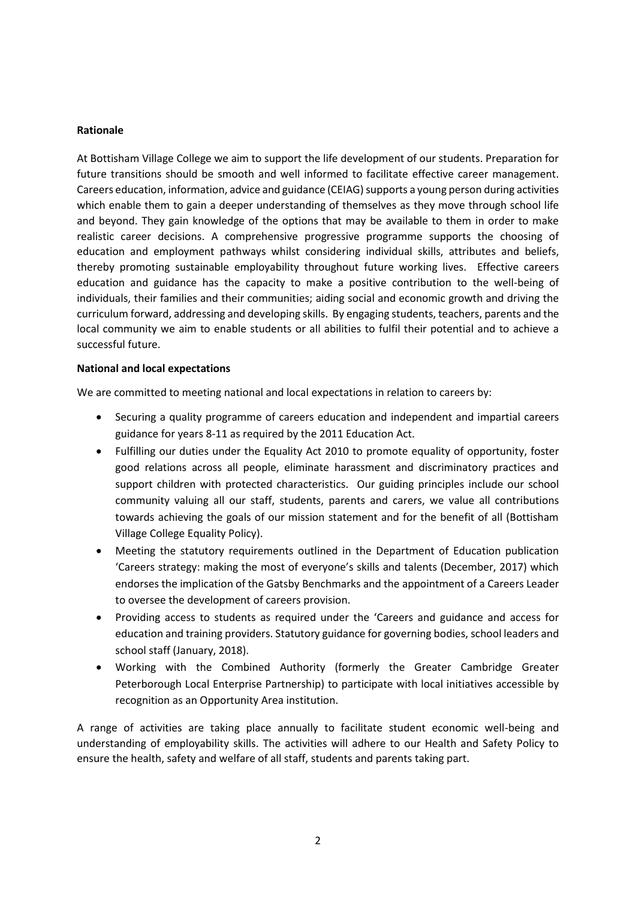#### **Rationale**

At Bottisham Village College we aim to support the life development of our students. Preparation for future transitions should be smooth and well informed to facilitate effective career management. Careers education, information, advice and guidance (CEIAG) supports a young person during activities which enable them to gain a deeper understanding of themselves as they move through school life and beyond. They gain knowledge of the options that may be available to them in order to make realistic career decisions. A comprehensive progressive programme supports the choosing of education and employment pathways whilst considering individual skills, attributes and beliefs, thereby promoting sustainable employability throughout future working lives. Effective careers education and guidance has the capacity to make a positive contribution to the well-being of individuals, their families and their communities; aiding social and economic growth and driving the curriculum forward, addressing and developing skills. By engaging students, teachers, parents and the local community we aim to enable students or all abilities to fulfil their potential and to achieve a successful future.

#### **National and local expectations**

We are committed to meeting national and local expectations in relation to careers by:

- Securing a quality programme of careers education and independent and impartial careers guidance for years 8-11 as required by the 2011 Education Act.
- Fulfilling our duties under the Equality Act 2010 to promote equality of opportunity, foster good relations across all people, eliminate harassment and discriminatory practices and support children with protected characteristics. Our guiding principles include our school community valuing all our staff, students, parents and carers, we value all contributions towards achieving the goals of our mission statement and for the benefit of all (Bottisham Village College Equality Policy).
- Meeting the statutory requirements outlined in the Department of Education publication 'Careers strategy: making the most of everyone's skills and talents (December, 2017) which endorses the implication of the Gatsby Benchmarks and the appointment of a Careers Leader to oversee the development of careers provision.
- Providing access to students as required under the 'Careers and guidance and access for education and training providers. Statutory guidance for governing bodies, school leaders and school staff (January, 2018).
- Working with the Combined Authority (formerly the Greater Cambridge Greater Peterborough Local Enterprise Partnership) to participate with local initiatives accessible by recognition as an Opportunity Area institution.

A range of activities are taking place annually to facilitate student economic well-being and understanding of employability skills. The activities will adhere to our Health and Safety Policy to ensure the health, safety and welfare of all staff, students and parents taking part.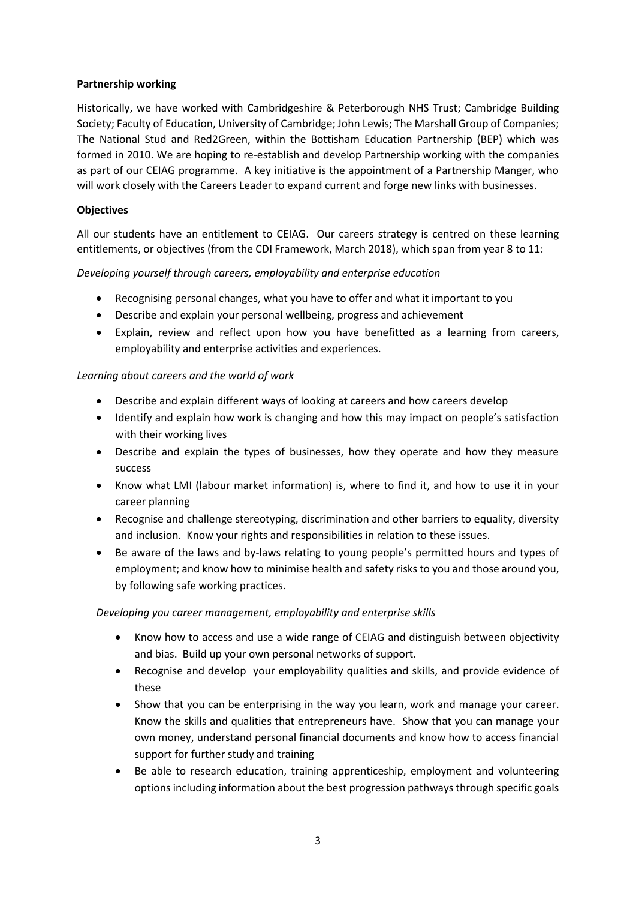# **Partnership working**

Historically, we have worked with Cambridgeshire & Peterborough NHS Trust; Cambridge Building Society; Faculty of Education, University of Cambridge; John Lewis; The Marshall Group of Companies; The National Stud and Red2Green, within the Bottisham Education Partnership (BEP) which was formed in 2010. We are hoping to re-establish and develop Partnership working with the companies as part of our CEIAG programme. A key initiative is the appointment of a Partnership Manger, who will work closely with the Careers Leader to expand current and forge new links with businesses.

# **Objectives**

All our students have an entitlement to CEIAG. Our careers strategy is centred on these learning entitlements, or objectives (from the CDI Framework, March 2018), which span from year 8 to 11:

# *Developing yourself through careers, employability and enterprise education*

- Recognising personal changes, what you have to offer and what it important to you
- Describe and explain your personal wellbeing, progress and achievement
- Explain, review and reflect upon how you have benefitted as a learning from careers, employability and enterprise activities and experiences.

# *Learning about careers and the world of work*

- Describe and explain different ways of looking at careers and how careers develop
- Identify and explain how work is changing and how this may impact on people's satisfaction with their working lives
- Describe and explain the types of businesses, how they operate and how they measure success
- Know what LMI (labour market information) is, where to find it, and how to use it in your career planning
- Recognise and challenge stereotyping, discrimination and other barriers to equality, diversity and inclusion. Know your rights and responsibilities in relation to these issues.
- Be aware of the laws and by-laws relating to young people's permitted hours and types of employment; and know how to minimise health and safety risks to you and those around you, by following safe working practices.

#### *Developing you career management, employability and enterprise skills*

- Know how to access and use a wide range of CEIAG and distinguish between objectivity and bias. Build up your own personal networks of support.
- Recognise and develop your employability qualities and skills, and provide evidence of these
- Show that you can be enterprising in the way you learn, work and manage your career. Know the skills and qualities that entrepreneurs have. Show that you can manage your own money, understand personal financial documents and know how to access financial support for further study and training
- Be able to research education, training apprenticeship, employment and volunteering options including information about the best progression pathways through specific goals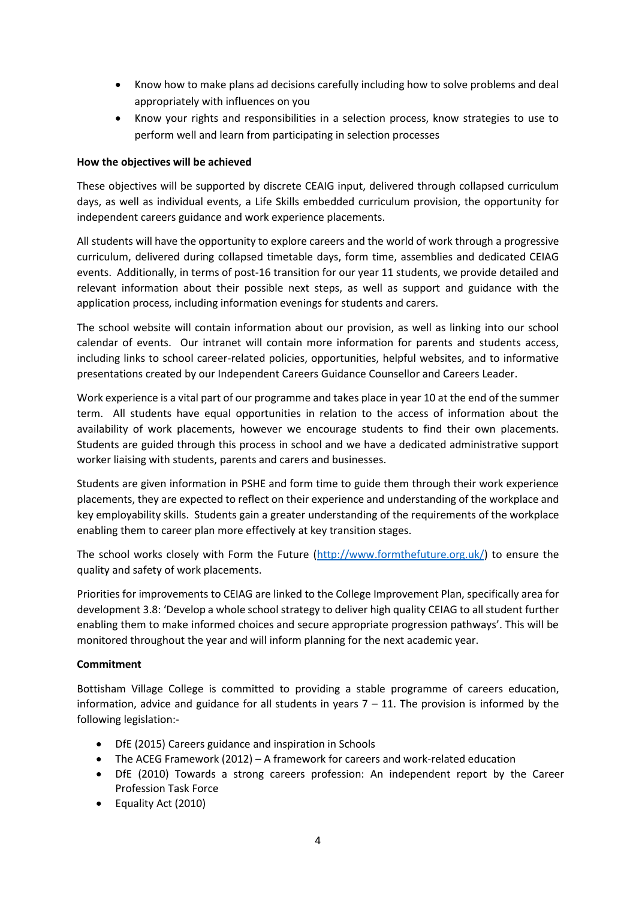- Know how to make plans ad decisions carefully including how to solve problems and deal appropriately with influences on you
- Know your rights and responsibilities in a selection process, know strategies to use to perform well and learn from participating in selection processes

# **How the objectives will be achieved**

These objectives will be supported by discrete CEAIG input, delivered through collapsed curriculum days, as well as individual events, a Life Skills embedded curriculum provision, the opportunity for independent careers guidance and work experience placements.

All students will have the opportunity to explore careers and the world of work through a progressive curriculum, delivered during collapsed timetable days, form time, assemblies and dedicated CEIAG events. Additionally, in terms of post-16 transition for our year 11 students, we provide detailed and relevant information about their possible next steps, as well as support and guidance with the application process, including information evenings for students and carers.

The school website will contain information about our provision, as well as linking into our school calendar of events. Our intranet will contain more information for parents and students access, including links to school career-related policies, opportunities, helpful websites, and to informative presentations created by our Independent Careers Guidance Counsellor and Careers Leader.

Work experience is a vital part of our programme and takes place in year 10 at the end of the summer term. All students have equal opportunities in relation to the access of information about the availability of work placements, however we encourage students to find their own placements. Students are guided through this process in school and we have a dedicated administrative support worker liaising with students, parents and carers and businesses.

Students are given information in PSHE and form time to guide them through their work experience placements, they are expected to reflect on their experience and understanding of the workplace and key employability skills. Students gain a greater understanding of the requirements of the workplace enabling them to career plan more effectively at key transition stages.

The school works closely with Form the Future [\(http://www.formthefuture.org.uk/\)](http://www.formthefuture.org.uk/) to ensure the quality and safety of work placements.

Priorities for improvements to CEIAG are linked to the College Improvement Plan, specifically area for development 3.8: 'Develop a whole school strategy to deliver high quality CEIAG to all student further enabling them to make informed choices and secure appropriate progression pathways'. This will be monitored throughout the year and will inform planning for the next academic year.

#### **Commitment**

Bottisham Village College is committed to providing a stable programme of careers education, information, advice and guidance for all students in years  $7 - 11$ . The provision is informed by the following legislation:-

- DfE (2015) Careers guidance and inspiration in Schools
- The ACEG Framework (2012) A framework for careers and work-related education
- DfE (2010) Towards a strong careers profession: An independent report by the Career Profession Task Force
- Equality Act (2010)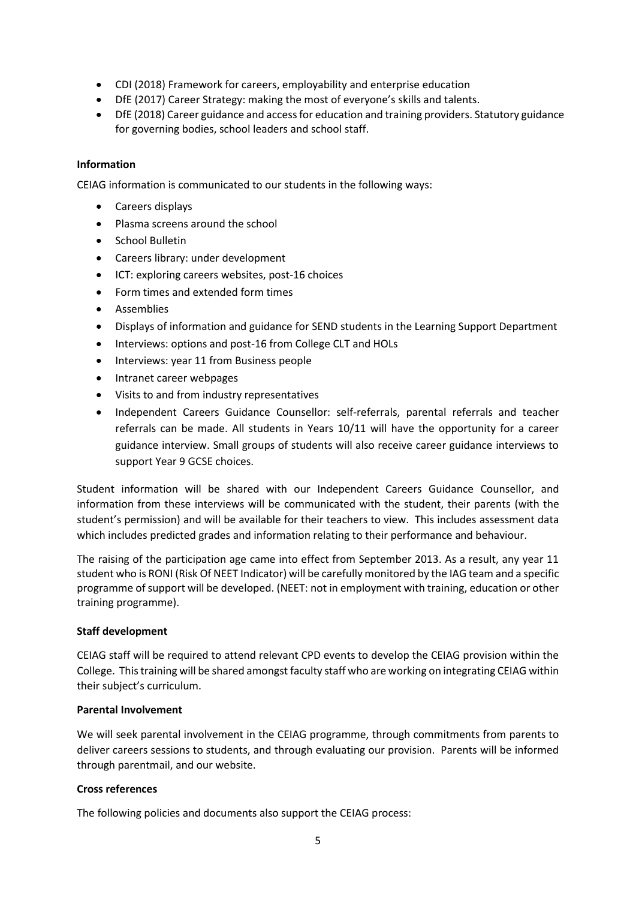- CDI (2018) Framework for careers, employability and enterprise education
- DfE (2017) Career Strategy: making the most of everyone's skills and talents.
- DfE (2018) Career guidance and access for education and training providers. Statutory guidance for governing bodies, school leaders and school staff.

# **Information**

CEIAG information is communicated to our students in the following ways:

- Careers displays
- Plasma screens around the school
- School Bulletin
- Careers library: under development
- ICT: exploring careers websites, post-16 choices
- Form times and extended form times
- **•** Assemblies
- Displays of information and guidance for SEND students in the Learning Support Department
- Interviews: options and post-16 from College CLT and HOLs
- Interviews: year 11 from Business people
- Intranet career webpages
- Visits to and from industry representatives
- Independent Careers Guidance Counsellor: self-referrals, parental referrals and teacher referrals can be made. All students in Years 10/11 will have the opportunity for a career guidance interview. Small groups of students will also receive career guidance interviews to support Year 9 GCSE choices.

Student information will be shared with our Independent Careers Guidance Counsellor, and information from these interviews will be communicated with the student, their parents (with the student's permission) and will be available for their teachers to view. This includes assessment data which includes predicted grades and information relating to their performance and behaviour.

The raising of the participation age came into effect from September 2013. As a result, any year 11 student who is RONI (Risk Of NEET Indicator) will be carefully monitored by the IAG team and a specific programme of support will be developed. (NEET: not in employment with training, education or other training programme).

#### **Staff development**

CEIAG staff will be required to attend relevant CPD events to develop the CEIAG provision within the College. This training will be shared amongst faculty staff who are working on integrating CEIAG within their subject's curriculum.

#### **Parental Involvement**

We will seek parental involvement in the CEIAG programme, through commitments from parents to deliver careers sessions to students, and through evaluating our provision. Parents will be informed through parentmail, and our website.

#### **Cross references**

The following policies and documents also support the CEIAG process: